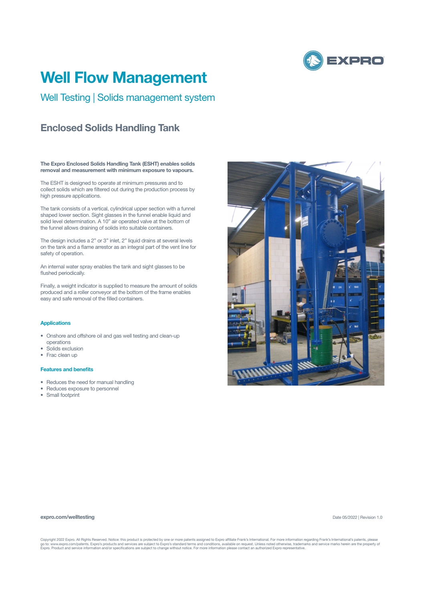

# **Well Flow Management**

Well Testing | Solids management system

## **Enclosed Solids Handling Tank**

**The Expro Enclosed Solids Handling Tank (ESHT) enables solids removal and measurement with minimum exposure to vapours.**

The ESHT is designed to operate at minimum pressures and to collect solids which are filtered out during the production process by high pressure applications.

The tank consists of a vertical, cylindrical upper section with a funnel shaped lower section. Sight glasses in the funnel enable liquid and solid level determination. A 10" air operated valve at the bottom of the funnel allows draining of solids into suitable containers.

The design includes a 2" or 3" inlet, 2" liquid drains at several levels on the tank and a flame arrestor as an integral part of the vent line for safety of operation.

An internal water spray enables the tank and sight glasses to be flushed periodically.

Finally, a weight indicator is supplied to measure the amount of solids produced and a roller conveyor at the bottom of the frame enables easy and safe removal of the filled containers.

### **Applications**

- Onshore and offshore oil and gas well testing and clean-up operations
- Solids exclusion
- Frac clean up

#### **Features and benefits**

- Reduces the need for manual handling
- Reduces exposure to personnel
- Small footprint



#### **expro.com/welltesting**

Date 05/2022 | Revision 1.0

Copyright 2022 Expro. All Rights Reserved. Notice: this product is protected by one or more patents assigned to Expro affiliate Frank's International. For more information regarding Frank's International's patents, please<br>